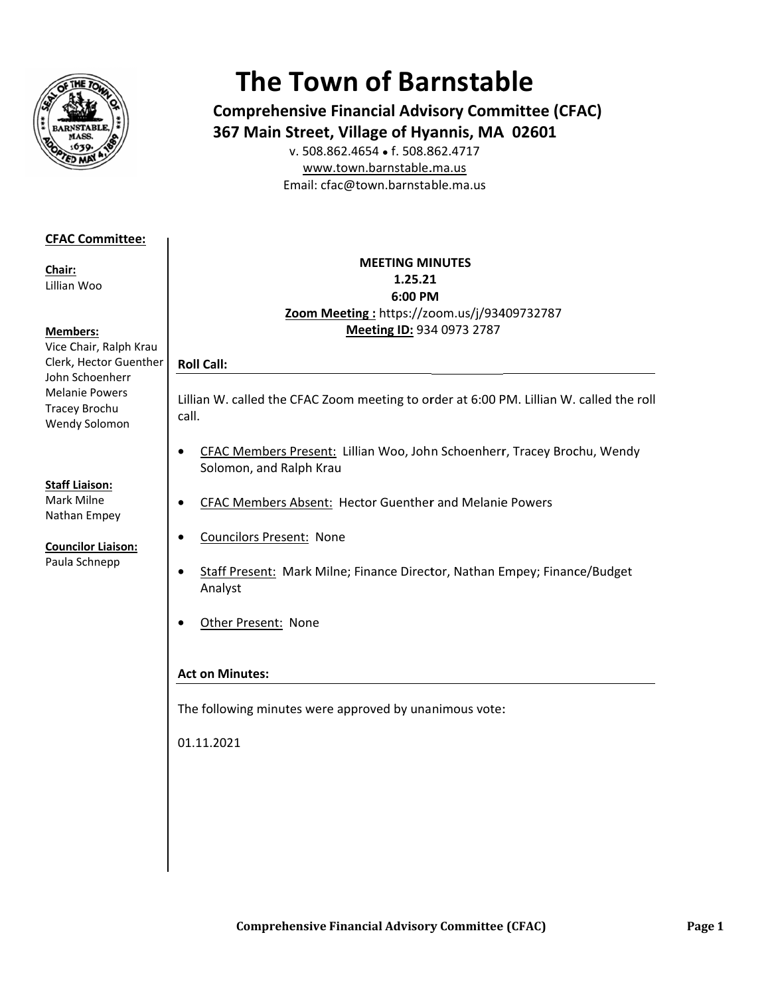

# **The Town of Barnstable**

**Comprehensive Financial Advisory Committee (CFAC)** 367 Main Street, Village of Hyannis, MA 02601

v. 508.862.4654 • f. 508.862.4717 www.town.barnstable.ma.us Email: cfac@town.barnstable.ma.us

# **CFAC Committee:**

Chair: Lillian Woo

# **Members:**

Vice Chair, Ralph Krau Clerk, Hector Guenther John Schoenherr **Melanie Powers** Tracey Brochu Wendy Solomon

# **Staff Liaison:**

Mark Milne Nathan Empey

#### **Councilor Liaison:** Paula Schnepp

# **MEETING MINUTES** 1.25.21 6:00 PM Zoom Meeting: https://zoom.us/j/93409732787 Meeting ID: 934 0973 2787

# **Roll Call:**

 $\bullet$ 

Lillian W. called the CFAC Zoom meeting to order at 6:00 PM. Lillian W. called the roll call.

- CFAC Members Present: Lillian Woo, John Schoenherr, Tracey Brochu, Wendy  $\bullet$ Solomon, and Ralph Krau
- CFAC Members Absent: Hector Guenther and Melanie Powers  $\bullet$ 
	- **Councilors Present: None**
- Staff Present: Mark Milne; Finance Director, Nathan Empey; Finance/Budget  $\bullet$ Analyst
- Other Present: None  $\bullet$

# **Act on Minutes:**

The following minutes were approved by unanimous vote:

01.11.2021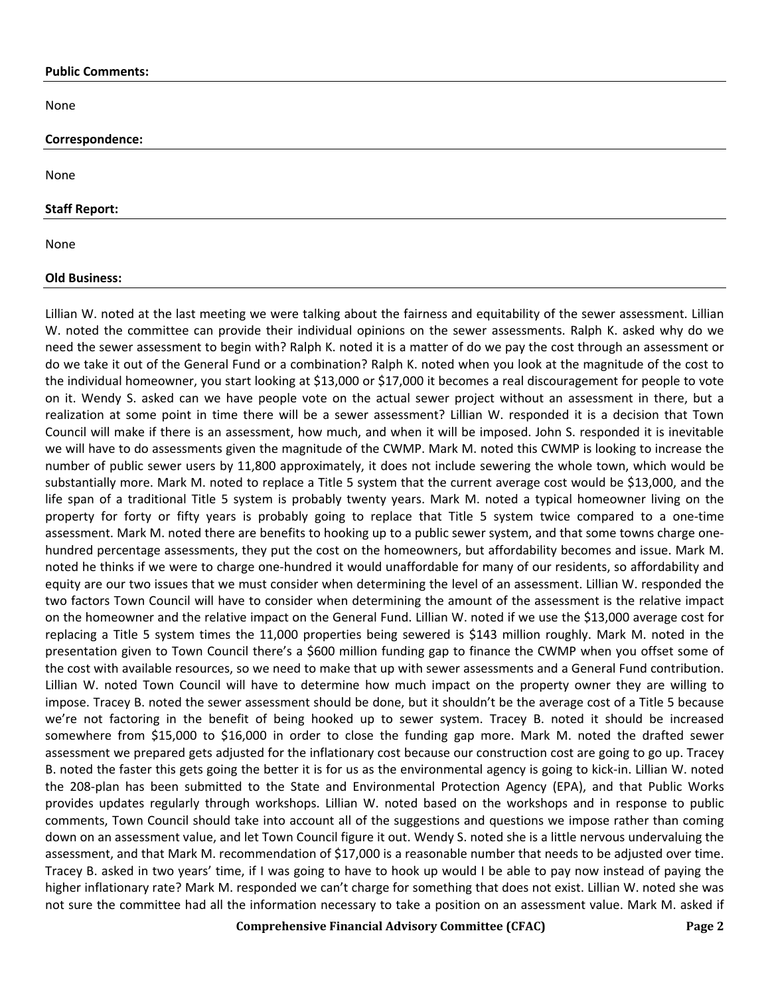#### **Public Comments:**

None

#### **Correspondence:**

None

#### **Staff Report:**

None

#### **Old Business:**

Lillian W. noted at the last meeting we were talking about the fairness and equitability of the sewer assessment. Lillian W. noted the committee can provide their individual opinions on the sewer assessments. Ralph K. asked why do we need the sewer assessment to begin with? Ralph K. noted it is a matter of do we pay the cost through an assessment or do we take it out of the General Fund or a combination? Ralph K. noted when you look at the magnitude of the cost to the individual homeowner, you start looking at \$13,000 or \$17,000 it becomes a real discouragement for people to vote on it. Wendy S. asked can we have people vote on the actual sewer project without an assessment in there, but a realization at some point in time there will be a sewer assessment? Lillian W. responded it is a decision that Town Council will make if there is an assessment, how much, and when it will be imposed. John S. responded it is inevitable we will have to do assessments given the magnitude of the CWMP. Mark M. noted this CWMP is looking to increase the number of public sewer users by 11,800 approximately, it does not include sewering the whole town, which would be substantially more. Mark M. noted to replace a Title 5 system that the current average cost would be \$13,000, and the life span of a traditional Title 5 system is probably twenty years. Mark M. noted a typical homeowner living on the property for forty or fifty years is probably going to replace that Title 5 system twice compared to a one-time assessment. Mark M. noted there are benefits to hooking up to a public sewer system, and that some towns charge onehundred percentage assessments, they put the cost on the homeowners, but affordability becomes and issue. Mark M. noted he thinks if we were to charge one-hundred it would unaffordable for many of our residents, so affordability and equity are our two issues that we must consider when determining the level of an assessment. Lillian W. responded the two factors Town Council will have to consider when determining the amount of the assessment is the relative impact on the homeowner and the relative impact on the General Fund. Lillian W. noted if we use the \$13,000 average cost for replacing a Title 5 system times the 11,000 properties being sewered is \$143 million roughly. Mark M. noted in the presentation given to Town Council there's a \$600 million funding gap to finance the CWMP when you offset some of the cost with available resources, so we need to make that up with sewer assessments and a General Fund contribution. Lillian W. noted Town Council will have to determine how much impact on the property owner they are willing to impose. Tracey B. noted the sewer assessment should be done, but it shouldn't be the average cost of a Title 5 because we're not factoring in the benefit of being hooked up to sewer system. Tracey B. noted it should be increased somewhere from \$15,000 to \$16,000 in order to close the funding gap more. Mark M. noted the drafted sewer assessment we prepared gets adjusted for the inflationary cost because our construction cost are going to go up. Tracey B. noted the faster this gets going the better it is for us as the environmental agency is going to kick-in. Lillian W. noted the 208-plan has been submitted to the State and Environmental Protection Agency (EPA), and that Public Works provides updates regularly through workshops. Lillian W. noted based on the workshops and in response to public comments, Town Council should take into account all of the suggestions and questions we impose rather than coming down on an assessment value, and let Town Council figure it out. Wendy S. noted she is a little nervous undervaluing the assessment, and that Mark M. recommendation of \$17,000 is a reasonable number that needs to be adjusted over time. Tracey B. asked in two years' time, if I was going to have to hook up would I be able to pay now instead of paying the higher inflationary rate? Mark M. responded we can't charge for something that does not exist. Lillian W. noted she was not sure the committee had all the information necessary to take a position on an assessment value. Mark M. asked if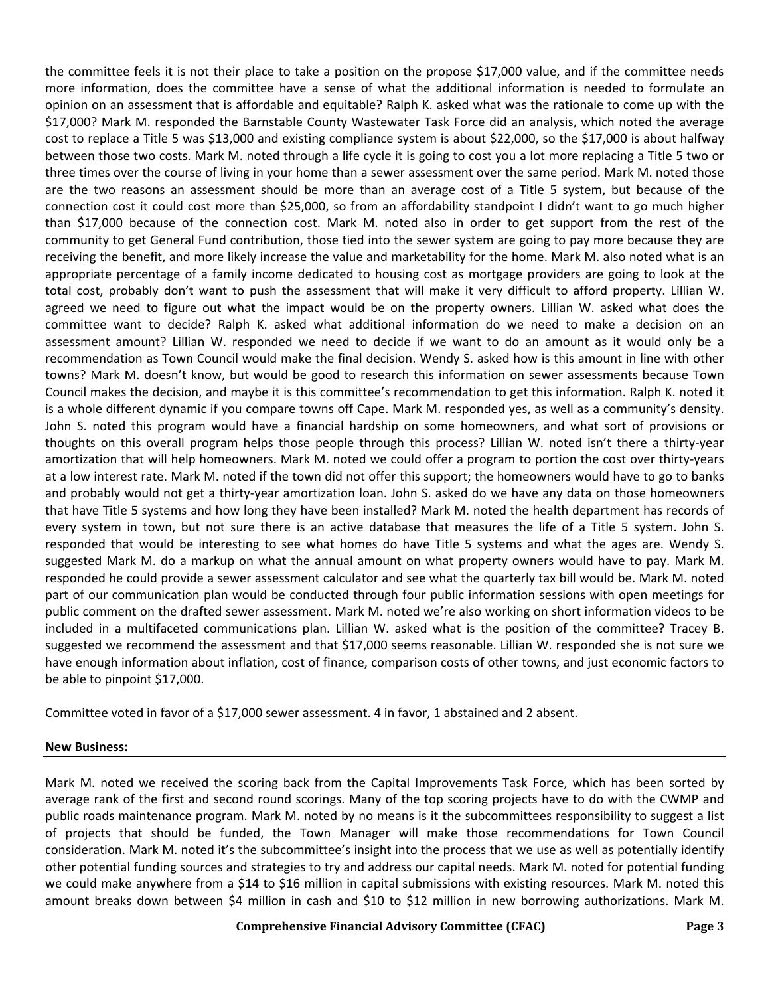the committee feels it is not their place to take a position on the propose \$17,000 value, and if the committee needs more information, does the committee have a sense of what the additional information is needed to formulate an opinion on an assessment that is affordable and equitable? Ralph K. asked what was the rationale to come up with the \$17,000? Mark M. responded the Barnstable County Wastewater Task Force did an analysis, which noted the average cost to replace a Title 5 was \$13,000 and existing compliance system is about \$22,000, so the \$17,000 is about halfway between those two costs. Mark M. noted through a life cycle it is going to cost you a lot more replacing a Title 5 two or three times over the course of living in your home than a sewer assessment over the same period. Mark M. noted those are the two reasons an assessment should be more than an average cost of a Title 5 system, but because of the connection cost it could cost more than \$25,000, so from an affordability standpoint I didn't want to go much higher than \$17,000 because of the connection cost. Mark M. noted also in order to get support from the rest of the community to get General Fund contribution, those tied into the sewer system are going to pay more because they are receiving the benefit, and more likely increase the value and marketability for the home. Mark M. also noted what is an appropriate percentage of a family income dedicated to housing cost as mortgage providers are going to look at the total cost, probably don't want to push the assessment that will make it very difficult to afford property. Lillian W. agreed we need to figure out what the impact would be on the property owners. Lillian W. asked what does the committee want to decide? Ralph K. asked what additional information do we need to make a decision on an assessment amount? Lillian W. responded we need to decide if we want to do an amount as it would only be a recommendation as Town Council would make the final decision. Wendy S. asked how is this amount in line with other towns? Mark M. doesn't know, but would be good to research this information on sewer assessments because Town Council makes the decision, and maybe it is this committee's recommendation to get this information. Ralph K. noted it is a whole different dynamic if you compare towns off Cape. Mark M. responded yes, as well as a community's density. John S. noted this program would have a financial hardship on some homeowners, and what sort of provisions or thoughts on this overall program helps those people through this process? Lillian W. noted isn't there a thirty-year amortization that will help homeowners. Mark M. noted we could offer a program to portion the cost over thirty-years at a low interest rate. Mark M. noted if the town did not offer this support; the homeowners would have to go to banks and probably would not get a thirty-year amortization loan. John S. asked do we have any data on those homeowners that have Title 5 systems and how long they have been installed? Mark M. noted the health department has records of every system in town, but not sure there is an active database that measures the life of a Title 5 system. John S. responded that would be interesting to see what homes do have Title 5 systems and what the ages are. Wendy S. suggested Mark M. do a markup on what the annual amount on what property owners would have to pay. Mark M. responded he could provide a sewer assessment calculator and see what the quarterly tax bill would be. Mark M. noted part of our communication plan would be conducted through four public information sessions with open meetings for public comment on the drafted sewer assessment. Mark M. noted we're also working on short information videos to be included in a multifaceted communications plan. Lillian W. asked what is the position of the committee? Tracey B. suggested we recommend the assessment and that \$17,000 seems reasonable. Lillian W. responded she is not sure we have enough information about inflation, cost of finance, comparison costs of other towns, and just economic factors to be able to pinpoint \$17,000.

Committee voted in favor of a \$17,000 sewer assessment. 4 in favor, 1 abstained and 2 absent.

# **New Business:**

Mark M. noted we received the scoring back from the Capital Improvements Task Force, which has been sorted by average rank of the first and second round scorings. Many of the top scoring projects have to do with the CWMP and public roads maintenance program. Mark M. noted by no means is it the subcommittees responsibility to suggest a list of projects that should be funded, the Town Manager will make those recommendations for Town Council consideration. Mark M. noted it's the subcommittee's insight into the process that we use as well as potentially identify other potential funding sources and strategies to try and address our capital needs. Mark M. noted for potential funding we could make anywhere from a \$14 to \$16 million in capital submissions with existing resources. Mark M. noted this amount breaks down between \$4 million in cash and \$10 to \$12 million in new borrowing authorizations. Mark M.